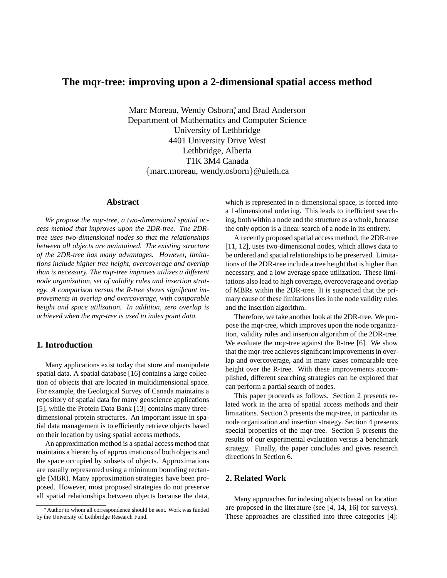# **The mqr-tree: improving upon a 2-dimensional spatial access method**

Marc Moreau, Wendy Osborn<sup>\*</sup>, and Brad Anderson Department of Mathematics and Computer Science University of Lethbridge 4401 University Drive West Lethbridge, Alberta T1K 3M4 Canada {marc.moreau, wendy.osborn}@uleth.ca

### **Abstract**

*We propose the mqr-tree, a two-dimensional spatial access method that improves upon the 2DR-tree. The 2DRtree uses two-dimensional nodes so that the relationships between all objects are maintained. The existing structure of the 2DR-tree has many advantages. However, limitations include higher tree height, overcoverage and overlap than is necessary. The mqr-tree improves utilizes a different node organization, set of validity rules and insertion strategy. A comparison versus the R-tree shows significant improvements in overlap and overcoverage, with comparable height and space utilization. In addition, zero overlap is achieved when the mqr-tree is used to index point data.*

# **1. Introduction**

Many applications exist today that store and manipulate spatial data. A spatial database [16] contains a large collection of objects that are located in multidimensional space. For example, the Geological Survey of Canada maintains a repository of spatial data for many geoscience applications [5], while the Protein Data Bank [13] contains many threedimensional protein structures. An important issue in spatial data management is to efficiently retrieve objects based on their location by using spatial access methods.

An approximation method is a spatial access method that maintains a hierarchy of approximations of both objects and the space occupied by subsets of objects. Approximations are usually represented using a minimum bounding rectangle (MBR). Many approximation strategies have been proposed. However, most proposed strategies do not preserve all spatial relationships between objects because the data,

which is represented in n-dimensional space, is forced into a 1-dimensional ordering. This leads to inefficient searching, both within a node and the structure as a whole, because the only option is a linear search of a node in its entirety.

A recently proposed spatial access method, the 2DR-tree [11, 12], uses two-dimensional nodes, which allows data to be ordered and spatial relationships to be preserved. Limitations of the 2DR-tree include a tree height that is higher than necessary, and a low average space utilization. These limitations also lead to high coverage, overcoverage and overlap of MBRs within the 2DR-tree. It is suspected that the primary cause of these limitations lies in the node validity rules and the insertion algorithm.

Therefore, we take another look at the 2DR-tree. We propose the mqr-tree, which improves upon the node organization, validity rules and insertion algorithm of the 2DR-tree. We evaluate the mqr-tree against the R-tree [6]. We show that the mqr-tree achieves significant improvements in overlap and overcoverage, and in many cases comparable tree height over the R-tree. With these improvements accomplished, different searching strategies can be explored that can perform a partial search of nodes.

This paper proceeds as follows. Section 2 presents related work in the area of spatial access methods and their limitations. Section 3 presents the mqr-tree, in particular its node organization and insertion strategy. Section 4 presents special properties of the mqr-tree. Section 5 presents the results of our experimental evaluation versus a benchmark strategy. Finally, the paper concludes and gives research directions in Section 6.

### **2. Related Work**

Many approaches for indexing objects based on location are proposed in the literature (see [4, 14, 16] for surveys). These approaches are classified into three categories [4]:

<sup>∗</sup>Author to whom all correspondence should be sent. Work was funded by the University of Lethbridge Research Fund.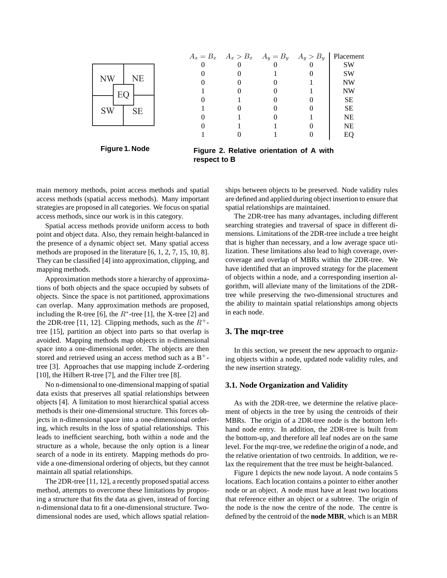

**Figure 1. Node**

| $A_x = B_x$ $A_x > B_x$ $A_y = B_y$ $A_y > B_y$ Placement |  |     |
|-----------------------------------------------------------|--|-----|
|                                                           |  | SW  |
|                                                           |  | SW  |
|                                                           |  | NW  |
|                                                           |  | NW  |
|                                                           |  | SЕ  |
|                                                           |  | SЕ  |
|                                                           |  | NE  |
|                                                           |  | NΕ  |
|                                                           |  | EC. |

**Figure 2. Relative orientation of A with respect to B**

main memory methods, point access methods and spatial access methods (spatial access methods). Many important strategies are proposed in all categories. We focus on spatial access methods, since our work is in this category.

Spatial access methods provide uniform access to both point and object data. Also, they remain height-balanced in the presence of a dynamic object set. Many spatial access methods are proposed in the literature [6, 1, 2, 7, 15, 10, 8]. They can be classified [4] into approximation, clipping, and mapping methods.

Approximation methods store a hierarchy of approximations of both objects and the space occupied by subsets of objects. Since the space is not partitioned, approximations can overlap. Many approximation methods are proposed, including the R-tree [6], the  $R^*$ -tree [1], the X-tree [2] and the 2DR-tree [11, 12]. Clipping methods, such as the  $R^+$ tree [15], partition an object into parts so that overlap is avoided. Mapping methods map objects in n-dimensional space into a one-dimensional order. The objects are then stored and retrieved using an access method such as a  $B^+$ tree [3]. Approaches that use mapping include Z-ordering [10], the Hilbert R-tree [7], and the Filter tree [8].

No n-dimensional to one-dimensional mapping of spatial data exists that preserves all spatial relationships between objects [4]. A limitation to most hierarchical spatial access methods is their one-dimensional structure. This forces objects in n-dimensional space into a one-dimensional ordering, which results in the loss of spatial relationships. This leads to inefficient searching, both within a node and the structure as a whole, because the only option is a linear search of a node in its entirety. Mapping methods do provide a one-dimensional ordering of objects, but they cannot maintain all spatial relationships.

The 2DR-tree [11, 12], a recently proposed spatial access method, attempts to overcome these limitations by proposing a structure that fits the data as given, instead of forcing n-dimensional data to fit a one-dimensional structure. Twodimensional nodes are used, which allows spatial relationships between objects to be preserved. Node validity rules are defined and applied during object insertion to ensure that spatial relationships are maintained.

The 2DR-tree has many advantages, including different searching strategies and traversal of space in different dimensions. Limitations of the 2DR-tree include a tree height that is higher than necessary, and a low average space utilization. These limitations also lead to high coverage, overcoverage and overlap of MBRs within the 2DR-tree. We have identified that an improved strategy for the placement of objects within a node, and a corresponding insertion algorithm, will alleviate many of the limitations of the 2DRtree while preserving the two-dimensional structures and the ability to maintain spatial relationships among objects in each node.

### **3. The mqr-tree**

In this section, we present the new approach to organizing objects within a node, updated node validity rules, and the new insertion strategy.

#### **3.1. Node Organization and Validity**

As with the 2DR-tree, we determine the relative placement of objects in the tree by using the centroids of their MBRs. The origin of a 2DR-tree node is the bottom lefthand node entry. In addition, the 2DR-tree is built from the bottom-up, and therefore all leaf nodes are on the same level. For the mqr-tree, we redefine the origin of a node, and the relative orientation of two centroids. In addition, we relax the requirement that the tree must be height-balanced.

Figure 1 depicts the new node layout. A node contains 5 locations. Each location contains a pointer to either another node or an object. A node must have at least two locations that reference either an object or a subtree. The origin of the node is the now the centre of the node. The centre is defined by the centroid of the **node MBR**, which is an MBR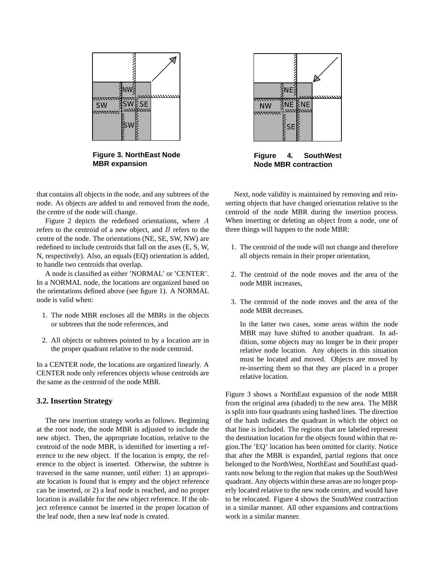

**Figure 3. NorthEast Node MBR expansion**

that contains all objects in the node, and any subtrees of the node. As objects are added to and removed from the node, the centre of the node will change.

Figure 2 depicts the redefined orientations, where A refers to the centroid of a new object, and B refers to the centre of the node. The orientations (NE, SE, SW, NW) are redefined to include centroids that fall on the axes (E, S, W, N, respectively). Also, an equals (EQ) orientation is added, to handle two centroids that overlap.

A node is classified as either 'NORMAL' or 'CENTER'. In a NORMAL node, the locations are organized based on the orientations defined above (see figure 1). A NORMAL node is valid when:

- 1. The node MBR encloses all the MBRs in the objects or subtrees that the node references, and
- 2. All objects or subtrees pointed to by a location are in the proper quadrant relative to the node centroid.

In a CENTER node, the locations are organized linearly. A CENTER node only references objects whose centroids are the same as the centroid of the node MBR.

### **3.2. Insertion Strategy**

The new insertion strategy works as follows. Beginning at the root node, the node MBR is adjusted to include the new object. Then, the appropriate location, relative to the centroid of the node MBR, is identified for inserting a reference to the new object. If the location is empty, the reference to the object is inserted. Otherwise, the subtree is traversed in the same manner, until either: 1) an appropriate location is found that is empty and the object reference can be inserted, or 2) a leaf node is reached, and no proper location is available for the new object reference. If the object reference cannot be inserted in the proper location of the leaf node, then a new leaf node is created.



**Figure 4. SouthWest Node MBR contraction**

Next, node validity is maintained by removing and reinserting objects that have changed orientation relative to the centroid of the node MBR during the insertion process. When inserting or deleting an object from a node, one of three things will happen to the node MBR:

- 1. The centroid of the node will not change and therefore all objects remain in their proper orientation,
- 2. The centroid of the node moves and the area of the node MBR increases,
- 3. The centroid of the node moves and the area of the node MBR decreases.

In the latter two cases, some areas within the node MBR may have shifted to another quadrant. In addition, some objects may no longer be in their proper relative node location. Any objects in this situation must be located and moved. Objects are moved by re-inserting them so that they are placed in a proper relative location.

Figure 3 shows a NorthEast expansion of the node MBR from the original area (shaded) to the new area. The MBR is split into four quadrants using hashed lines. The direction of the hash indicates the quadrant in which the object on that line is included. The regions that are labeled represent the destination location for the objects found within that region.The 'EQ' location has been omitted for clarity. Notice that after the MBR is expanded, partial regions that once belonged to the NorthWest, NorthEast and SouthEast quadrants now belong to the region that makes up the SouthWest quadrant. Any objects within these areas are no longer properly located relative to the new node centre, and would have to be relocated. Figure 4 shows the SouthWest contraction in a similar manner. All other expansions and contractions work in a similar manner.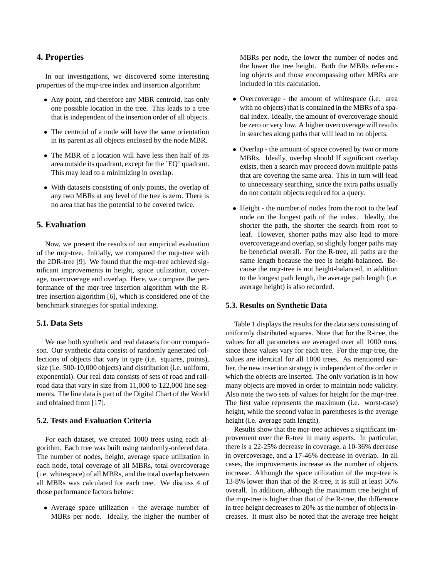## **4. Properties**

In our investigations, we discovered some interesting properties of the mqr-tree index and insertion algorithm:

- Any point, and therefore any MBR centroid, has only one possible location in the tree. This leads to a tree that is independent of the insertion order of all objects.
- The centroid of a node will have the same orientation in its parent as all objects enclosed by the node MBR.
- The MBR of a location will have less then half of its area outside its quadrant, except for the 'EQ' quadrant. This may lead to a minimizing in overlap.
- With datasets consisting of only points, the overlap of any two MBRs at any level of the tree is zero. There is no area that has the potential to be covered twice.

## **5. Evaluation**

Now, we present the results of our empirical evaluation of the mqr-tree. Initially, we compared the mqr-tree with the 2DR-tree [9]. We found that the mqr-tree achieved significant improvements in height, space utilization, coverage, overcoverage and overlap. Here, we compare the performance of the mqr-tree insertion algorithm with the Rtree insertion algorithm [6], which is considered one of the benchmark strategies for spatial indexing.

#### **5.1. Data Sets**

We use both synthetic and real datasets for our comparison. Our synthetic data consist of randomly generated collections of objects that vary in type (i.e. squares, points), size (i.e. 500-10,000 objects) and distribution (i.e. uniform, exponential). Our real data consists of sets of road and railroad data that vary in size from 11,000 to 122,000 line segments. The line data is part of the Digital Chart of the World and obtained from [17].

### **5.2. Tests and Evaluation Criteria**

For each dataset, we created 1000 trees using each algorithm. Each tree was built using randomly-ordered data. The number of nodes, height, average space utilization in each node, total coverage of all MBRs, total overcoverage (i.e. whitespace) of all MBRs, and the total overlap between all MBRs was calculated for each tree. We discuss 4 of those performance factors below:

• Average space utilization - the average number of MBRs per node. Ideally, the higher the number of MBRs per node, the lower the number of nodes and the lower the tree height. Both the MBRs referencing objects and those encompassing other MBRs are included in this calculation.

- Overcoverage the amount of whitespace (i.e. area with no objects) that is contained in the MBRs of a spatial index. Ideally, the amount of overcoverage should be zero or very low. A higher overcoverage will results in searches along paths that will lead to no objects.
- Overlap the amount of space covered by two or more MBRs. Ideally, overlap should If significant overlap exists, then a search may proceed down multiple paths that are covering the same area. This in turn will lead to unnecessary searching, since the extra paths usually do not contain objects required for a query.
- Height the number of nodes from the root to the leaf node on the longest path of the index. Ideally, the shorter the path, the shorter the search from root to leaf. However, shorter paths may also lead to more overcoverage and overlap, so slightly longer paths may be beneficial overall. For the R-tree, all paths are the same length because the tree is height-balanced. Because the mqr-tree is not height-balanced, in addition to the longest path length, the average path length (i.e. average height) is also recorded.

#### **5.3. Results on Synthetic Data**

Table 1 displays the results for the data sets consisting of uniformly distributed squares. Note that for the R-tree, the values for all parameters are averaged over all 1000 runs, since these values vary for each tree. For the mqr-tree, the values are identical for all 1000 trees. As mentioned earlier, the new insertion strategy is independent of the order in which the objects are inserted. The only variation is in how many objects are moved in order to maintain node validity. Also note the two sets of values for height for the mqr-tree. The first value represents the maximum (i.e. worst-case) height, while the second value in parentheses is the average height (i.e. average path length).

Results show that the mqr-tree achieves a significant improvement over the R-tree in many aspects. In particular, there is a 22-25% decrease in coverage, a 10-36% decrease in overcoverage, and a 17-46% decrease in overlap. In all cases, the improvements increase as the number of objects increase. Although the space utilization of the mqr-tree is 13-8% lower than that of the R-tree, it is still at least 50% overall. In addition, although the maximum tree height of the mqr-tree is higher than that of the R-tree, the difference in tree height decreases to 20% as the number of objects increases. It must also be noted that the average tree height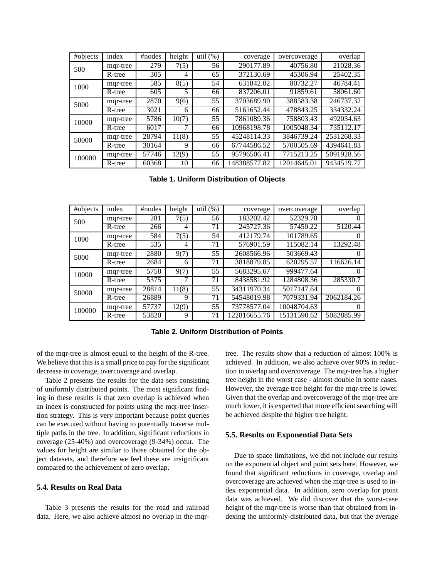| #objects | index    | #nodes | height | util $(\%)$ | coverage     | overcoverage | overlap    |
|----------|----------|--------|--------|-------------|--------------|--------------|------------|
| 500      | mqr-tree | 279    | 7(5)   | 56          | 290177.89    | 40756.80     | 21028.36   |
|          | R-tree   | 305    | 4      | 65          | 372130.69    | 45306.94     | 25402.35   |
| 1000     | mqr-tree | 585    | 8(5)   | 54          | 631842.02    | 80732.27     | 46784.41   |
|          | R-tree   | 605    | 5      | 66          | 837206.01    | 91859.61     | 58061.60   |
| 5000     | mqr-tree | 2870   | 9(6)   | 55          | 3703689.90   | 388583.38    | 246737.32  |
|          | R-tree   | 3021   | 6      | 66          | 5161652.44   | 478843.25    | 334332.24  |
| 10000    | mqr-tree | 5786   | 10(7)  | 55          | 7861089.36   | 758803.43    | 492034.63  |
|          | R-tree   | 6017   | ⇁      | 66          | 10968198.78  | 1005048.34   | 735112.17  |
| 50000    | mqr-tree | 28794  | 11(8)  | 55          | 45248114.33  | 3846739.24   | 2531268.33 |
|          | R-tree   | 30164  | 9      | 66          | 67744586.52  | 5700505.69   | 4394641.83 |
| 100000   | mqr-tree | 57746  | 12(9)  | 55          | 95796506.41  | 7715213.25   | 5091928.56 |
|          | R-tree   | 60368  | 10     | 66          | 148388577.82 | 12014645.01  | 9434519.77 |

**Table 1. Uniform Distribution of Objects**

| #objects | index    | #nodes | height | util $(\%)$ | coverage     | overcoverage | overlap    |
|----------|----------|--------|--------|-------------|--------------|--------------|------------|
| 500      | mqr-tree | 281    | 7(5)   | 56          | 183202.42    | 52329.78     |            |
|          | R-tree   | 266    | 4      | 71          | 245727.36    | 57450.22     | 5120.44    |
| 1000     | mqr-tree | 584    | 7(5)   | 54          | 412179.74    | 101789.65    | $\Omega$   |
|          | R-tree   | 535    | 4      | 71          | 576901.59    | 115082.14    | 13292.48   |
| 5000     | mqr-tree | 2880   | 9(7)   | 55          | 2608566.96   | 503669.43    | $\theta$   |
|          | R-tree   | 2684   | 6      | 71          | 3818879.85   | 620295.57    | 116626.14  |
| 10000    | mqr-tree | 5758   | 9(7)   | 55          | 5683295.67   | 999477.64    | $\Omega$   |
|          | R-tree   | 5375   | 7      | 71          | 8438581.92   | 1284808.36   | 285330.7   |
| 50000    | mqr-tree | 28814  | 11(8)  | 55          | 34311970.34  | 5017147.64   | $\Omega$   |
|          | R-tree   | 26889  | 9      | 71          | 54548019.98  | 7079331.94   | 2062184.26 |
| 100000   | mqr-tree | 57737  | 12(9)  | 55          | 73778577.04  | 10048704.63  | $\theta$   |
|          | R-tree   | 53820  | 9      | 71          | 122816655.76 | 15131590.62  | 5082885.99 |

**Table 2. Uniform Distribution of Points**

of the mqr-tree is almost equal to the height of the R-tree. We believe that this is a small price to pay for the significant decrease in coverage, overcoverage and overlap.

Table 2 presents the results for the data sets consisting of uniformly distributed points. The most significant finding in these results is that zero overlap is achieved when an index is constructed for points using the mqr-tree insertion strategy. This is very important because point queries can be executed without having to potentially traverse multiple paths in the tree. In addition, significant reductions in coverage (25-40%) and overcoverage (9-34%) occur. The values for height are similar to those obtained for the object datasets, and therefore we feel these are insignificant compared to the achievement of zero overlap.

#### **5.4. Results on Real Data**

Table 3 presents the results for the road and railroad data. Here, we also achieve almost no overlap in the mqrtree. The results show that a reduction of almost 100% is achieved. In addition, we also achieve over 90% in reduction in overlap and overcoverage. The mqr-tree has a higher tree height in the worst case - almost double in some cases. However, the average tree height for the mqr-tree is lower. Given that the overlap and overcoverage of the mqr-tree are much lower, it is expected that more efficient searching will be achieved despite the higher tree height.

#### **5.5. Results on Exponential Data Sets**

Due to space limitations, we did not include our results on the exponential object and point sets here. However, we found that significant reductions in coverage, overlap and overcoverage are achieved when the mqr-tree is used to index exponential data. In addition, zero overlap for point data was achieved. We did discover that the worst-case height of the mqr-tree is worse than that obtained from indexing the uniformly-distributed data, but that the average